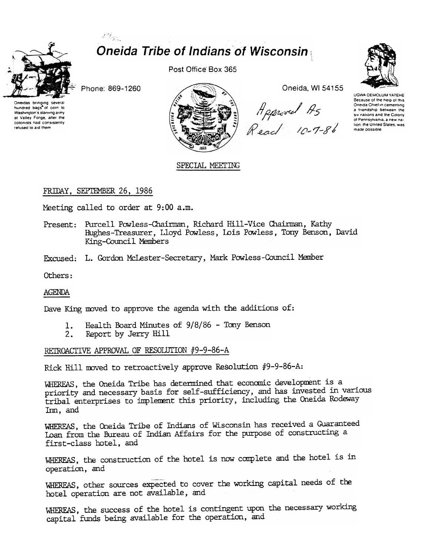

# Ranger ( **Oneida Tribe of Indians of Wisconsin**

Phone: 869-1260



Post Office Box 365



Oneida, WI 54155

Heproved As<br>Read 10-7-86



UGWA DEMOLUM YATEHE Because of the help of this Oneida Chief in cementing a triendship between the six nations and the Colony of Pennsylvania, a new nation, the United States, was made possible

SPECIAL MEETING

## FRIDAY, SEPTEMBER 26, 1986

Meeting called to order at 9:00 a.m.

- Present: Purcell Powless-Chairman, Richard Hill-Vice Chairman, Kathy Hughes-Treasurer, Lloyd Powless, Lois Powless, Tony Benson, David King-Council Members
- Excused: L. Gordon McLester-Secretary, Mark Powless-Council Member

Others:

**AGENDA** 

Dave King moved to approve the agenda with the additions of:

- Health Board Minutes of 9/8/86 Tony Benson 1.
- $2.$ Report by Jerry Hill

RETROACTIVE APPROVAL OF RESOLUTION #9-9-86-A

Rick Hill moved to retroactively approve Resolution #9-9-86-A:

WHEREAS, the Oneida Tribe has determined that economic development is a priority and necessary basis for self-sufficiency, and has invested in various tribal enterprises to implement this priority, including the Oneida Rodeway Im, and

WHEREAS, the Oneida Tribe of Indians of Wisconsin has received a Guaranteed Loan from the Bureau of Indian Affairs for the purpose of constructing a first-class hotel, and

WHEREAS, the construction of the hotel is now complete and the hotel is in operation, and

WHEREAS, other sources expected to cover the working capital needs of the hotel operation are not available, and

WHEREAS, the success of the hotel is contingent upon the necessary working capital funds being available for the operation, and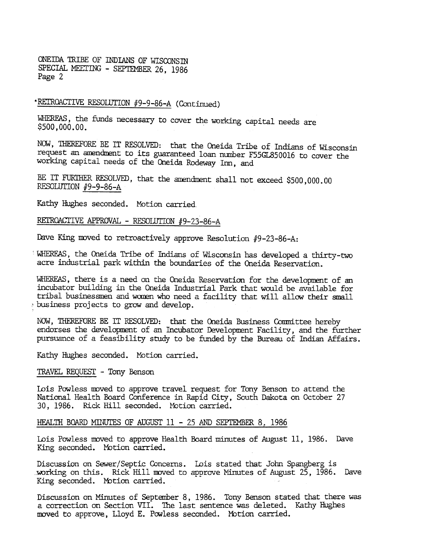ONEIDA 1RIBE OF INDIANS OF WISCONSm SPECIAL MEETING - SEPTEMBER 26, 1986 Page 2

# \*RETROACTIVE RESOLUTION #9-9-86-A (Continued)

WHERFAS, the funds necessary to cover the working capital needs are \$500,000.00.

NOW, THEREFORE BE IT RESOLVED: that the Oneida Tribe of Indians of Wisconsin request an amendment to its guaranteed loan number F55GL850016 to cover the working capital needs of the Oneida Rodeway Inn, and

BE IT FURTHER RESOLVED, that the amendment shall not exceed \$500,000.00 RESOLUTION #9-9-86-A

Kathy Hughes seconded. Motion carried

REI'ROACTIVE APPROVAL - RESOLUTION #9-23-86-A

Dave King moved to retroactively approve Resolution  $#9-23-86-A$ :

WHEREAS, the Oneida Tribe of Indians of Wisconsin bas developed a thirty-two acre industrial park within the boundaries of the Oneida Reservation.

WHEREAS, there is a need on the Oneida Reservation for the development of an incubator building in the Oneida Industrial Park that would be available for tribal businessmen and women who need a facility that will allow their small business projects to grow and develop.

NOW, THEREFORE BE IT RESOLVED: that the Oneida Business Committee hereby endorses the development of an Incubator Development Facility, and the further pursuance of a feasibility study to be funded by the Bureau of Indian Affairs.

Kathy Hughes seconded. Motion carried.

TRAVEL REQUEST - Tony Benson

..

Lois Powless moved to approve travel request for Tony Benson to attend the National Health Board Conference in Rapid City, South Dakota on October 27 30, 1986. Rick Hill seconded. Motion carried.

#### HEALTH BOARD MINUTES OF AUGUST  $11 - 25$  and SEPTEMBER 8, 1986

Lois Powless moved to approve Health Board minutes of August 11, 1986. Dave King seconded. Motion carried.

Discussion on Sewer/Septic Concerns. Lois stated that John Spangberg is \_:!MJrking on this. Rick Hill DXJVed to approve Minutes of August 25, 1986. Dave King seconded. Motion carried.

Discussion on Minutes of Septanber 8, 1986. Tony Benson stated that there was a correction on Section VII. The last sentence was deleted. Kathy Hughes moved to approve, Lloyd E. Powless seconded. Motion carried.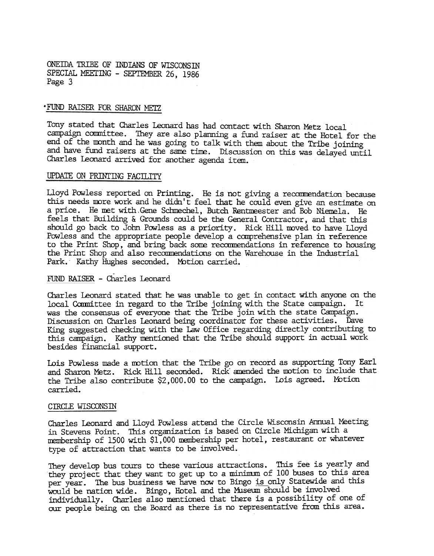ONEIDA TRIBE OF INDIANS OF WISCONSIN SPECIAL MEETING - SEPTEMBER 26, 1986 Page 3

#### . FUND RAISER FOR SHARON METZ

Tony stated that Charles Leonard has had contact with Sharon Metz local campaign committee. They are also planning a fund raiser at the Hotel for the end of the month and he was going to talk with them about the Tribe joining and have fund raisers at the same time. Discussion on this was delayed until Charles Leonard arrived for another agenda item.

#### UPDATE ON PRINTING FACILITY

Lloyd Powless reported on Printing. He is not giving a recommendation because this needs more work and he didn't feel that he could even give an estimate on a price. He met with Gene Schmechel, Butch Rentmeester and Bob Niemela. He feels that Building  $\&$  Grounds could be the General Contractor, and that this should go back to John Powless as a priority. Rick Hill moved to have Lloyd Powless and the appropriate people develop a comprehensive plan in reference to the Print Shop, and bring back some recommendations in reference to housing the Print Shop and also recommendations on the Warehouse in the Industrial Park. Kathy Hughes seconded. Motion carried.

#### FUND RAISER -Charles Leonard

Charles Leonard stated that he was unable to get in contact with anyone on the local Committee in regard to the Tribe joining with the State campaign. It was the consensus of everyone that the Tribe join with the state Campaign. Discussion on Charles Leonard being coordinator for these activities. Dave King suggested checking with the Law Office regarding directly contributing to this campaign. Kathy nentioned that the Tribe should support in actual work besides financial support.

Lois Powless made a motion that the Tribe go on record as supporting Tony Earl and Sharon Metz. Rick Hill seconded. Rick amended the motion to include that the Tribe also contribute \$2, 000. 00 to the campaign. Lois agreed. MOtion carried.

#### CIRCLE WISCONSIN

Charles Leonard and Lloyd Powless attend the Circle Wisconsin Annual Meeting in Stevens Point. This organization is based on Circle Michigan with a membership of 1500 with \$1,000 membership per hotel, restaurant or Whatever type of attraction that wants to be involved.

They develop bus tours to these various attractions. This fee is yearly and they project that they want to get up to a minimum of 100 buses to this area per year. The bus business we have now to Bingo is only Statewide and this would be nation wide. Bingo, Hotel and the Museum should be involved individually. Charles also mentioned that there is a possibility of one of our people being on the Board as there is no representative from this area.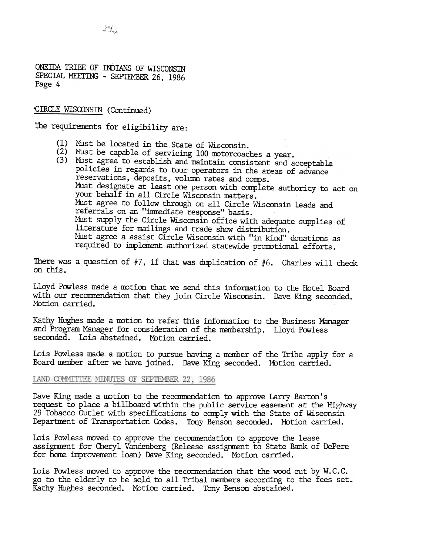ONEIDA TRIBE OF INDIANS OF WISCONSIN SPECIAL MEETING - SEPTEMBER 26, 1986 Page 4

'CIRCLE WISCONSIN (Continued)

The requirements for eligibility are:

- (1) MUst be located in the State of Wisconsin.
- (2) Must be capable of servicing 100 motorcoaches a year
- $(3)$  Must agree to establish and maintain consistent and acceptable policies in regards to tour operators in the areas of advance reservations, deposits, volumn rates and comps. Must designate at least one person with complete authority to act on your behalf in all Circle Wisconsin matters. Must agree to follow through on all Circle Wisconsin leads and referrals on an "imnediate response" basis. MUst supply the Circle Wisconsin office with adequate supplies of literature for mailings and trade show distribution. Must agree a assist Circle Wisconsin with "in kind" donations as required to implement authorized statewide promotional efforts.

There was a question of #7, if that was duplication of #6. Charles will check on this.

Lloyd Powless made a motion that we send this information to the Hotel Board with our recommendation that they join Circle Wisconsin. Dave King seconded. Motion carried.

Kathy Hughes made a motion to refer this information to the Business Manager and Program Manager for consideration of the membership. Lloyd Powless seconded. Lois abstained. Motion carried.

Lois Powless made a motion to pursue having a member of the Tribe apply for a Board member after we have joined. Dave King seconded. Motion carried.

### LAND COMMITTEE MINUTES OF SEPTEMBER 22, 1986

Dave King made a motion to the recommendation to approve Larry Barton's request to place a billboard within the public service easement at the Highway 29 Tobacco Outlet with specifications to comply with the State of Wisconsin Department of Transportation Codes. Tony Benson seconded. Motion carried.

Lois Powless moved to approve the recommendation to approve the lease assignment for Cheryl Vandenberg (Release assignment to State Bank of DePere for home improvement loan) Dave King seconded. Motion carried.

Lois Powless moved to approve the recommendation that the wood cut by  $W.C.C.$ go to the elderly to be sold to all Tribal members according to the fees set. Kathy Hughes seconded. Motion carried. Tony Benson abstained.